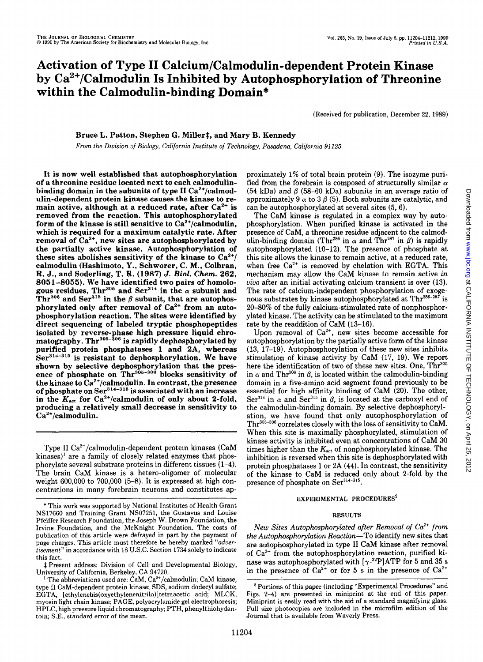# **Activation of Type II Calcium/Calmodulin-dependent Protein Kinase**  by Ca<sup>2</sup> <sup>+</sup>**/Calmodulin Is Inhibited by Autophosphorylation of Threonine within the Calmodulin-binding Domain\***

(Received for publication, December 22, 1989)

Bruce L. Patton, Stephen G. Miller‡, and Mary B. Kennedy

*From the Division of Biology, California Institute of Technology, Pasadena, California 91125* 

It is now well established that autophosphorylation of a threonine residue located next to each calmodulinbinding domain in the subunits of type II  $Ca^{2+}/cal$ calmodulin-dependent protein kinase causes the kinase to remain active, although at a reduced rate, after  $Ca^{2+}$  is removed from the reaction. This autophosphorylated form of the kinase is still sensitive to  $Ca^{2+}/cal$  calmodulin. which is required for a maximum catalytic rate. After removal of  $Ca^{2+}$ , new sites are autophosphorylated by the partially active kinase. Autophosphorylation of these sites abolishes sensitivity of the kinase to  $Ca^{2+}$ / calmodulin (Hashimoto, Y., Schworer, C. M., Colbran, R. J., and Soderling, T. R. (1987) J. *Bioi. Chern.* 262, 8051-8055). We have identified two pairs of homologous residues, Thr<sup>305</sup> and Ser<sup>314</sup> in the  $\alpha$  subunit and Thr<sup>306</sup> and Ser<sup>315</sup> in the  $\beta$  subunit, that are autophosphorylated only after removal of  $Ca^{2+}$  from an autophosphorylation reaction. The sites were identified by direct sequencing of labeled tryptic phosphopeptides isolated by reverse-phase high pressure liquid chro· matography. Thr<sup>305-306</sup> is rapidly dephosphorylated by purified protein phosphatases 1 and 2A, whereas  $Ser<sup>314-315</sup>$  is resistant to dephosphorylation. We have shown by selective dephosphorylation that the presence of phosphate on  $\text{Thr}^{306-306}$  blocks sensitivity of the kinase to  $Ca^{2+}/cal$ modulin. In contrast, the presence of phosphate on  $Ser^{314-315}$  is associated with an increase in the  $K_{\text{act}}$  for Ca<sup>2+</sup>/calmodulin of only about 2-fold, producing a relatively small decrease in sensitivity to  $Ca<sup>2+</sup>/calmoduli$ n.

Type II Ca<sup>2+</sup>/calmodulin-dependent protein kinases (CaM  $kinases)^{1}$  are a family of closely related enzymes that phosphorylate several substrate proteins in different tissues (1-4). The brain CaM kinase is a hetero-oligomer of molecular weight 600,000 to 700,000 (5-8). It is expressed at high con· centrations in many forebrain neurons and constitutes ap-

~Present address: Division of Cell and Developmental Biology, University of California, Berkeley, CA 94720.

proximately 1% of total brain protein (9). The isozyme purified from the forebrain is composed of structurally similar  $\alpha$ (54 kDa) and  $\beta$  (58-60 kDa) subunits in an average ratio of approximately 9  $\alpha$  to 3  $\beta$  (5). Both subunits are catalytic, and can be autophosphorylated at several sites (5, 6).

The CaM kinase is regulated in a complex way by autophosphorylation. When purified kinase is activated in the presence of CaM, a threonine residue adjacent to the calmodulin-binding domain (Thr<sup>286</sup> in  $\alpha$  and Thr<sup>287</sup> in  $\beta$ ) is rapidly autophosphorylated (10-12). The presence of phosphate at this site allows the kinase to remain active, at a reduced rate, when free  $Ca^{2+}$  is removed by chelation with EGTA. This mechanism may allow the CaM kinase to remain active *in uiuo* after an initial activating calcium transient is over (13). The rate of calcium-independent phosphorylation of exogenous substrates by kinase autophosphorylated at  $\mathrm{Thr}^{286-287}$  is 20-80% of the fully calcium-stimulated rate of nonphosphorylated kinase. The activity can be stimulated to the maximum rate by the readdition of CaM (13-16).

Upon removal of  $Ca^{2+}$ , new sites become accessible for autophosphorylation by the partially active form of the kinase (13, 17-19). Autophosphorylation of these new sites inhibits stimulation of kinase activity by CaM (17, 19). We report here the identification of two of these new sites. One, Thr<sup>305</sup> in  $\alpha$  and Thr<sup>306</sup> in  $\beta$ , is located within the calmodulin-binding domain in a five-amino acid segment found previously to be essential for high affinity binding of CaM (20). The other, Ser<sup>314</sup> in  $\alpha$  and Ser<sup>315</sup> in  $\beta$ , is located at the carboxyl end of the calmodulin-binding domain. By selective dephosphorylation, we have found that only autophosphorylation of  $\text{Thr}^{305-306}$  correlates closely with the loss of sensitivity to CaM. When this site is maximally phosphorylated, stimulation of kinase activity is inhibited even at concentrations of CaM 30 times higher than the *Kact* of nonphosphorylated kinase. The inhibition is reversed when this site is dephosphorylated with protein phosphatases 1 or 2A (44). In contrast, the sensitivity of the kinase to CaM is reduced only about 2-fold by the presence of phosphate on Ser<sup>314-315</sup>.

#### EXPERIMENTAL PROCEDURES<sup>2</sup>

#### RESULTS

*New Sites Autophosplwrylated after Removal of Ca2* + *from the Autoplwsphorylation Reaction-To* identify new sites that are autophosphorylated in type II CaM kinase after removal of Ca2 + from the autophosphorylation reaction, purified kinase was autophosphorylated with  $[\gamma^{-32}P]ATP$  for 5 and 35 s in the presence of  $Ca^{2+}$  or for 5 s in the presence of  $Ca^{2+}$ 

<sup>\*</sup>This work was supported by National Institutes of Health Grant NS 17660 and Training Grant NS07251, the Gustavus and Louise Pfeiffer Research Foundation, the Joseph W. Drown Foundation, the Irvine Foundation, and the McKnight Foundation. The costs of publication of this article were defrayed in part by the payment of page charges. This article must therefore be hereby marked *"advertisement"* in accordance with 18 U.S.C. Section 1734 solely to indicate this fact.

<sup>&</sup>lt;sup>1</sup> The abbreviations used are: CaM,  $Ca^{2+}/cal$ calmodulin; CaM kinase, type II CaM-dependent protein kinase; SDS, sodium dodecyl sulfate; EGTA, [ethylenebis(oxyethylenenitrilo)] tetraacetic acid; MLCK, myosin light chain kinase; PAGE, polyacrylamide gel electrophoresis; HPLC, high pressure liquid chromatography; PTH, phenylthiohydantoin; S.E., standard error of the mean.

<sup>&</sup>lt;sup>2</sup> Portions of this paper (including "Experimental Procedures" and Figs. 2-4) are presented in miniprint at the end of this paper. Miniprint is easily read with the aid of a standard magnifying glass. Full size photocopies are included in the microfilm edition of the Journal that is available from Waverly Press.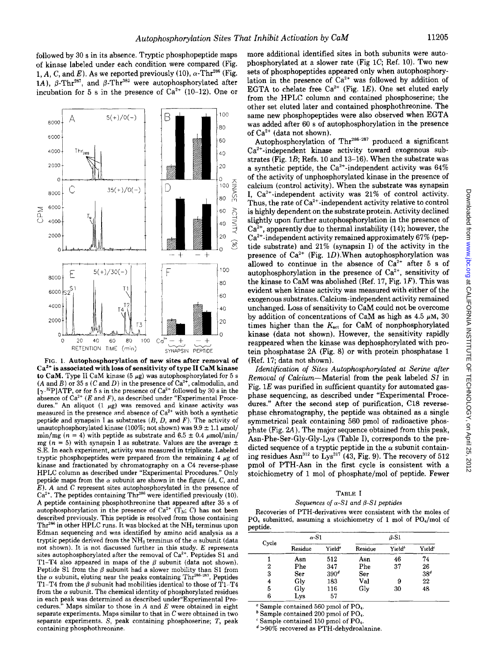followed by 30 s in its absence. Tryptic phosphopeptide maps of kinase labeled under each condition were compared (Fig. 1, A, C, and E). As we reported previously (10),  $\alpha$ -Thr<sup>286</sup> (Fig. 1A),  $\beta$ -Thr<sup>287</sup>, and  $\beta$ -Thr<sup>382</sup> were autophosphorylated after incubation for 5 s in the presence of  $Ca^{2+}$  (10-12). One or



FIG. 1. Autophosphorylation of new sites after removal of  $Ca<sup>2+</sup>$  is associated with loss of sensitivity of type II CaM kinase to CaM. Type II CaM kinase (5  $\mu$ g) was autophosphorylated for 5 s (A and B) or 35 s (C and D) in the presence of  $Ca^{2+}$ , calmodulin, and  $[\gamma^{32}P]$ ATP, or for 5 s in the presence of Ca<sup>2+</sup> followed by 30 s in the absence of Ca $^{2+}$  ( $E$  and  $F$ ), as described under "Experimental Procedures." An aliquot (1  $\mu$ g) was removed and kinase activity was measured in the presence and absence of  $Ca<sup>2+</sup>$  with both a synthetic peptide and synapsin I as substrates  $(B, D, \text{ and } F)$ . The activity of unautophosphorylated kinase (100%; not shown) was  $9.9 \pm 1.1 \mu$ mol/ min/mg ( $n = 4$ ) with peptide as substrate and 6.5  $\pm$  0.4  $\mu$ mol/min/ mg ( $n = 5$ ) with synapsin I as substrate. Values are the average  $\pm$ S.E. In each experiment, activity was measured in triplicate. Labeled tryptic phosphopeptides were prepared from the remaining 4  $\mu$ g of kinase and fractionated by chromatography on a C4 reverse-phase HPLC column as described under "Experimental Procedures." Only peptide maps from the  $\alpha$  subunit are shown in the figure (A, C, and E). A and C represent sites autophosphorylated in the presence of  $Ca<sup>2+</sup>$ . The peptides containing Thr<sup>286</sup> were identified previously (10). A peptide containing phosphothreonine that appeared after 35 s of autophosphorylation in the presence of  $Ca^{2+}$  (T<sub>N</sub>; C) has not been described previously. This peptide is resolved from those containing Thr<sup>286</sup> in other HPLC runs. It was blocked at the  $NH<sub>2</sub>$  terminus upon Edman sequencing and was identified by amino acid analysis as a tryptic peptide derived from the  $NH<sub>2</sub>$  terminus of the  $\alpha$  subunit (data not shown). It is not discussed further in this study. *E* represents sites autophosphorylated after the removal of  $Ca^{2+}$ . Peptides S1 and T1-T4 also appeared in maps of the  $\beta$  subunit (data not shown). Peptide S1 from the  $\beta$  subunit had a slower mobility than S1 from the  $\alpha$  subunit, eluting near the peaks containing Thr<sup>286-287</sup>. Peptides Tl-T4 from the  $\beta$  subunit had mobilities identical to those of Tl-T4 from the  $\alpha$  subunit. The chemical identity of phosphorylated residues in each peak was determined as described under"Experimental Procedures." Maps similar to those in  $A$  and  $E$  were obtained in eight separate experiments. Maps similar to that in  $C$  were obtained in two separate experiments. *S,* peak containing phosphoserine; *T,* peak containing phosphothreonine.

more additional identified sites in both subunits were autophosphorylated at a slower rate (Fig 1C; Ref. 10). Two new sets of phosphopeptides appeared only when autophosphorylation in the presence of  $Ca^{2+}$  was followed by addition of EGTA to chelate free  $Ca^{2+}$  (Fig. 1E). One set eluted early from the HPLC column and contained phosphoserine; the other set eluted later and contained phosphothreonine. The same new phosphopeptides were also observed when EGTA was added after 60 s of autophosphorylation in the presence of  $Ca^{2+}$  (data not shown).

Autophosphorylation of Thr<sup>286-287</sup> produced a significant Ca<sup>2+</sup>-independent kinase activity toward exogenous substrates (Fig. 1B; Refs. 10 and 13-16). When the substrate was a synthetic peptide, the  $Ca^{2+}$ -independent activity was 64% of the activity of unphosphorylated kinase in the presence of calcium (control activity). When the substrate was synapsin I,  $Ca^{2+}$ -independent activity was 21% of control activity. Thus, the rate of  $Ca^{2+}$ -independent activity relative to control is highly dependent on the substrate protein. Activity declined slightly upon further autophosphorylation in the presence of  $Ca<sup>2+</sup>$ , apparently due to thermal instability (14); however, the Ca2+ -independent activity remained approximately 67% (peptide substrate) and 21% (synapsin I) of the activity in the presence of  $Ca^{2+}$  (Fig. 1D). When autophosphorylation was allowed to continue in the absence of  $Ca^{2+}$  after 5 s of autophosphorylation in the presence of  $Ca^{2+}$ , sensitivity of the kinase to CaM was abolished (Ref. 17, Fig.  $1F$ ). This was evident when kinase activity was measured with either of the exogenous substrates. Calcium-independent activity remained unchanged. Loss of sensitivity to CaM could not be overcome by addition of concentrations of CaM as high as 4.5  $\mu$ M, 30 times higher than the  $K_{\text{act}}$  for CaM of nonphosphorylated kinase (data not shown). However, the sensitivity rapidly reappeared when the kinase was dephosphorylated with protein phosphatase 2A (Fig. 8) or with protein phosphatase 1 (Ref. 17; data not shown).

*Identification of Sites Autophosphorylated at Serine after Removal of* Calcium-Material from the peak labeled *SJ* in Fig.  $1E$  was purified in sufficient quantity for automated gasphase sequencing, as described under "Experimental Procedures." After the second step of purification, C18 reversephase chromatography, the peptide was obtained as a single symmetrical peak containing 560 pmol of radioactive phosphate (Fig. 2A). The major sequence obtained from this peak, Asn-Phe-Ser-Gly-Gly-Lys (Table I), corresponds to the predicted sequence of a tryptic peptide in the  $\alpha$  subunit containing residues Asn<sup>312</sup> to Lys<sup>317</sup> (43, Fig. 9). The recovery of 512 pmol of PTH-Asn in the first cycle is consistent with a stoichiometry of 1 mol of phosphate/mol of peptide. Fewer

### TABLE I

## *Sequences of a-Sl and {3-Sl peptides*

Recoveries of PTH-derivatives were consistent with the moles of PO, submitted, assuming a stoichiometry of 1 mol of PO,/mol of peptide.

| Cycle | $\alpha$ -S1 |                    | $\beta$ -S1 |                    |                    |
|-------|--------------|--------------------|-------------|--------------------|--------------------|
|       | Residue      | Yield <sup>o</sup> | Residue     | Yield <sup>b</sup> | Yield <sup>®</sup> |
|       | Asn          | 512                | Asn         | 46                 | 74                 |
| 2     | Phe          | 347                | Phe         | 37                 | 26                 |
| 3     | Ser          | 390 <sup>d</sup>   | Ser         |                    | 38 <sup>d</sup>    |
| 4     | Gly          | 183                | Val         | 9                  | 22                 |
| 5     | Gly          | 116                | Glv         | 30                 | 48                 |
|       | Lys          | 57                 |             |                    |                    |

<sup>a</sup> Sample contained 560 pmol of PO<sub>4</sub>.

<sup>*b*</sup> Sample contained 200 pmol of PO<sub>4</sub>.

Sample contained 150 pmol of PO<sub>4</sub>.

*d* >90% recovered as PTH-dehydroalanine.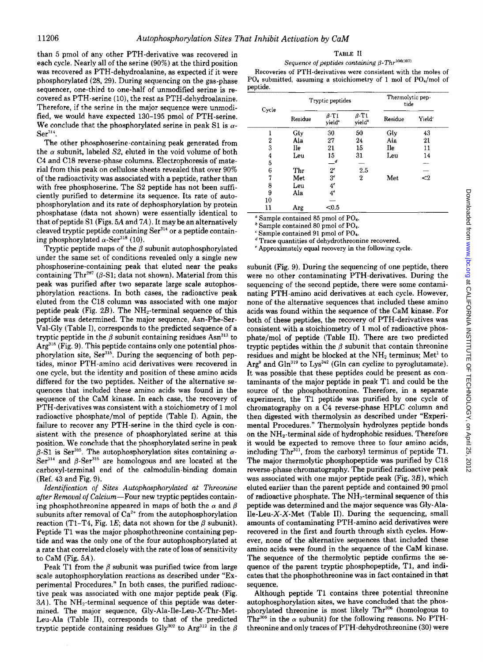than 5 pmol of any other PTH -derivative was recovered in each cycle. Nearly all of the serine (90%) at the third position was recovered as PTH -dehydroalanine, as expected if it were phosphorylated (28, 29). During sequencing on the gas-phase sequencer, one-third to one-half of unmodified serine is recovered as PTH-serine (10), the rest as PTH-dehydroalanine. Therefore, if the serine in the major sequence were unmodified, we would have expected 130-195 pmol of PTH-serine. We conclude that the phosphorylated serine in peak S1 is  $\alpha$ -Ser<sup>314</sup>.

The other phosphoserine-containing peak generated from the  $\alpha$  subunit, labeled S2, eluted in the void volume of both C4 and Cl8 reverse-phase columns. Electrophoresis of material from this peak on cellulose sheets revealed that over 90% of the radioactivity was associated with a peptide, rather than with free phosphoserine. The S2 peptide has not been sufficiently purified to determine its sequence. Its rate of autophosphorylation and its rate of dephosphorylation by protein phosphatase (data not shown) were essentially identical to that of peptide S1 (Figs. 5A and  $7A$ ). It may be an alternatively cleaved tryptic peptide containing Ser<sup>314</sup> or a peptide containing phosphorylated  $\alpha$ -Ser<sup>318</sup> (10).

Tryptic peptide maps of the  $\beta$  subunit autophosphorylated under the same set of conditions revealed only a single new phosphoserine-containing peak that eluted near the peaks containing Thr<sup>287</sup> ( $\beta$ -S1; data not shown). Material from this peak was purified after two separate large scale autophosphorylation reactions. In both cases, the radioactive peak eluted from the Cl8 column was associated with one major peptide peak (Fig.  $2B$ ). The NH<sub>2</sub>-terminal sequence of this peptide was determined. The major sequence, Asn-Phe-8er-Val-Gly (Table I), corresponds to the predicted sequence of a tryptic peptide in the  $\beta$  subunit containing residues Asn<sup>313</sup> to  $Arg<sup>318</sup>$  (Fig. 9). This peptide contains only one potential phosphorylation site,  $\text{Ser}^{315}$ . During the sequencing of both peptides, minor PTH -amino acid derivatives were recovered in one cycle, but the identity and position of these amino acids differed for the two peptides. Neither of the alternative sequences that included these amino acids was found in the sequence of the CaM kinase. In each case, the recovery of PTH-derivatives was consistent with a stoichiometry of 1 mol radioactive phosphate/mol of peptide (Table 1). Again, the failure to recover any PTH-serine in the third cycle is consistent with the presence of phosphorylated serine at this position. We conclude that the phosphorylated serine in peak  $\beta$ -S1 is Ser<sup>315</sup>. The autophosphorylation sites containing  $\alpha$ -Ser<sup>314</sup> and  $\beta$ -Ser<sup>315</sup> are homologous and are located at the carboxyl-terminal end of the calmodulin-binding domain (Ref. 43 and Fig. 9).

*Identification of Sites Autophosphorylated at Threonine after Removal of Calcium-Four* new tryptic peptides containing phosphothreonine appeared in maps of both the  $\alpha$  and  $\beta$ subunits after removal of  $Ca^{2+}$  from the autophosphorylation reaction (T1-T4, Fig. 1E; data not shown for the  $\beta$  subunit). Peptide Tl was the major phosphothreonine containing peptide and was the only one of the four autophosphorylated at a rate that correlated closely with the rate of loss of sensitivity to CaM (Fig. 5A).

Peak T1 from the  $\beta$  subunit was purified twice from large scale autophosphorylation reactions as described under "Experimental Procedures." In both cases, the purified radioactive peak was associated with one major peptide peak (Fig.  $3A$ ). The NH<sub>2</sub>-terminal sequence of this peptide was determined. The major sequence, Gly-Ala-Ile-Leu-X-Thr-Met-Leu-Ala (Table II), corresponds to that of the predicted tryptic peptide containing residues Gly<sup>302</sup> to Arg<sup>312</sup> in the  $\beta$ 

| TABLE II |                                                                  |  |  |  |  |  |  |
|----------|------------------------------------------------------------------|--|--|--|--|--|--|
|          | Sequence of peptides containing $\beta$ -Thr <sup>306(307)</sup> |  |  |  |  |  |  |

Recoveries of PTH-derivatives were consistent with the moles of  $PO<sub>4</sub>$  submitted, assuming a stoichiometry of 1 mol of  $PO<sub>4</sub>/mol$  of peptide.

| Cycle | Tryptic peptides |                                               |                                               | Thermolytic pep-<br>tide |                    |  |
|-------|------------------|-----------------------------------------------|-----------------------------------------------|--------------------------|--------------------|--|
|       | Residue          | $\beta$ -T <sub>1</sub><br>yield <sup>®</sup> | $\beta$ -T <sub>1</sub><br>yield <sup>4</sup> | Residue                  | Yield <sup>e</sup> |  |
|       | Gly              | 30                                            | 50                                            | Gly                      | 43                 |  |
| 2     | Ala              | 27                                            | 24                                            | Ala                      | 21                 |  |
| 3     | Ile              | 21                                            | 15                                            | Ile                      | 11                 |  |
| 4     | Leu              | 15                                            | 31                                            | Leu                      | 14                 |  |
| 5     |                  | $\_^d$                                        |                                               |                          |                    |  |
| 6     | Thr              | $2^e$                                         | 2.5                                           |                          | ---                |  |
| 7     | Met              | 3 <sup>e</sup>                                | $\overline{2}$                                | Met                      | $<$ 2              |  |
| 8     | Leu              | $4^e$                                         |                                               |                          |                    |  |
| 9     | Ala              | $4^e$                                         |                                               |                          |                    |  |
| 10    |                  |                                               |                                               |                          |                    |  |
| 11    | Arg              | < 0.5                                         |                                               |                          |                    |  |

• Sample contained 85 pmol of P04•

<sup>b</sup> Sample contained 80 pmol of PO<sub>4</sub>.

Sample contained 91 pmol of PO<sub>4</sub>.

<sup>d</sup> Trace quantities of dehydrothreonine recovered.

'Approximately equal recovery in the following cycle.

subunit (Fig. 9). During the sequencing of one peptide, there were no other contaminating PTH-derivatives. During the sequencing of the second peptide, there were some contaminating PTH-amino acid derivatives at each cycle. However, none of the alternative sequences that included these amino acids was found within the sequence of the CaM kinase. For both of these peptides, the recovery of PTH -derivatives was consistent with a stoichiometry of 1 mol of radioactive phosphate/mol of peptide (Table II). There are two predicted tryptic peptides within the  $\beta$  subunit that contain threonine residues and might be blocked at the  $NH<sub>2</sub>$  terminus; Met<sup>1</sup> to  $Arg<sup>9</sup>$  and Gln<sup>319</sup> to Lys<sup>342</sup> (Gln can cyclize to pyroglutamate). It was possible that these peptides could be present as contaminants of the major peptide in peak Tl and could be the source of the phosphothreonine. Therefore, in a separate experiment, the Tl peptide was purified by one cycle of chromatography on a C4 reverse-phase HPLC column and then digested with thermolysin as described under "Experimental Procedures." Thermolysin hydrolyzes peptide bonds on the NH2-terminal side of hydrophobic residues. Therefore it would be expected to remove three to four amino acids, including  $Thr^{311}$ , from the carboxyl terminus of peptide T1. The major thermolytic phosphopeptide was purified by Cl8 reverse-phase chromatography. The purified radioactive peak was associated with one major peptide peak (Fig. 38), which eluted earlier than the parent peptide and contained 90 pmol of radioactive phosphate. The  $NH_2$ -terminal sequence of this peptide was determined and the major sequence was Gly-Ala-Ile-Leu- $X$ - $X$ -Met (Table II). During the sequencing, small amounts of contaminating PTH -amino acid derivatives were recovered in the first and fourth through sixth cycles. However, none of the alternative sequences that included these amino acids were found in the sequence of the CaM kinase. The sequence of the thermolytic peptide confirms the sequence of the parent tryptic phosphopeptide, Tl, and indicates that the phosphothreonine was in fact contained in that sequence.

Although peptide Tl contains three potential threonine autophosphorylation sites, we have concluded that the phosphorylated threonine is most likely Thr<sup>306</sup> (homologous to Thr<sup>305</sup> in the  $\alpha$  subunit) for the following reasons. No PTHthreonine and only traces of PTH -dehydrothreonine (30) were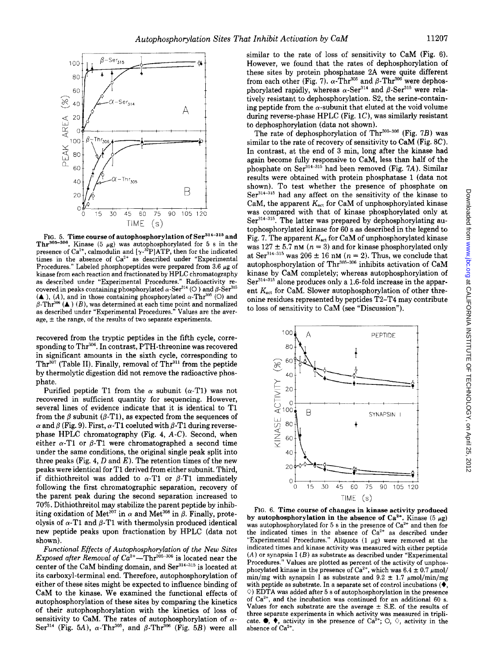

FIG. 5. Time course of autophosphorylation of Ser<sup>314-315</sup> and Thr<sup>305-306</sup>. Kinase (5  $\mu$ g) was autophosphorylated for 5 s in the presence of  $Ca^{2+}$ , calmodulin and  $[\gamma$ -<sup>32</sup>P]ATP, then for the indicated times in the absence of  $Ca^{2+}$  as described under "Experimental Procedures." Labeled phosphopeptides were prepared from 3.6  $\mu$ g of kinase from each reaction and fractionated by HPLC chromatography as described under "Experimental Procedures." Radioactivity recovered in peaks containing phosphorylated  $\alpha$ -Ser<sup>314</sup> (O) and  $\beta$ -Ser<sup>315</sup>  $(A)$ ,  $(A)$ , and in those containing phosphorylated  $\alpha$ -Thr<sup>305</sup> (O) and  $\beta$ -Thr<sup>306</sup> (A) (B), was determined at each time point and normalized as described under "Experimental Procedures." Values are the average,  $\pm$  the range, of the results of two separate experiments.

recovered from the tryptic peptides in the fifth cycle, corresponding to Thr<sup>306</sup>. In contrast, PTH-threonine was recovered in significant amounts in the sixth cycle, corresponding to  $Thr<sup>307</sup>$  (Table II). Finally, removal of Thr<sup>311</sup> from the peptide by thermolytic digestion did not remove the radioactive phosphate.

Purified peptide T1 from the  $\alpha$  subunit ( $\alpha$ -T1) was not recovered in sufficient quantity for sequencing. However, several lines of evidence indicate that it is identical to Tl from the  $\beta$  subunit ( $\beta$ -T1), as expected from the sequences of  $\alpha$  and  $\beta$  (Fig. 9). First,  $\alpha$ -T1 coeluted with  $\beta$ -T1 during reversephase HPLC chromatography (Fig. 4, *A-C).* Second, when either  $\alpha$ -Tl or  $\beta$ -Tl were chromatographed a second time under the same conditions, the original single peak split into three peaks (Fig. 4, D and  $E$ ). The retention times of the new peaks were identical for Tl derived from either subunit. Third, if dithiothreitol was added to  $\alpha$ -Tl or  $\beta$ -Tl immediately following the first chromatographic separation, recovery of the parent peak during the second separation increased to 70%. Dithiothreitol may stabilize the parent peptide by inhibiting oxidation of Met<sup>307</sup> in  $\alpha$  and Met<sup>308</sup> in  $\beta$ . Finally, proteolysis of  $\alpha$ -T1 and  $\beta$ -T1 with thermolysin produced identical new peptide peaks upon fractionation by HPLC (data not shown).

*Functional Effects of Autophosphorylation of the New Sites Exposed after Removal of*  $Ca^{2+}$ —Thr<sup>305-306</sup> is located near the center of the CaM binding domain, and Ser<sup>314-315</sup> is located at its carboxyl-terminal end. Therefore, autophosphorylation of either of these sites might be expected to influence binding of CaM to the kinase. We examined the functional effects of autophosphorylation of these sites by comparing the kinetics of their autophosphorylation with the kinetics of loss of sensitivity to CaM. The rates of autophosphorylation of  $\alpha$ -Ser<sup>314</sup> (Fig. 5A),  $\alpha$ -Thr<sup>305</sup>, and  $\beta$ -Thr<sup>306</sup> (Fig. 5B) were all

similar to the rate of loss of sensitivity to CaM (Fig. 6). However, we found that the rates of dephosphorylation of these sites by protein phosphatase 2A were quite different from each other (Fig. 7).  $\alpha$ -Thr<sup>305</sup> and  $\beta$ -Thr<sup>306</sup> were dephosphorylated rapidly, whereas  $\alpha$ -Ser<sup>314</sup> and  $\beta$ -Ser<sup>315</sup> were relatively resistant to dephosphorylation. 82, the serine-containing peptide from the  $\alpha$ -subunit that eluted at the void volume during reverse-phase HPLC (Fig.  $1C$ ), was similarly resistant to dephosphorylation (data not shown).

The rate of dephosphorylation of  $Thr^{305-306}$  (Fig. 7B) was similar to the rate of recovery of sensitivity to CaM (Fig. 8C). In contrast, at the end of 3 min, long after the kinase had again become fully responsive to CaM, less than half of the phosphate on Ser<sup>314-315</sup> had been removed (Fig. 7A). Similar results were obtained with protein phosphatase 1 (data not shown). To test whether the presence of phosphate on Ser<sup>314-315</sup> had any affect on the sensitivity of the kinase to CaM, the apparent  $K_{\text{act}}$  for CaM of unphosphorylated kinase was compared with that of kinase phosphorylated only at Ser<sup>314-315</sup>. The latter was prepared by dephosphorylating autophosphorylated kinase for 60 s as described in the legend to Fig. 7. The apparent  $K_{\text{act}}$  for CaM of unphosphorylated kinase was  $127 \pm 5.7$  nM ( $n = 3$ ) and for kinase phosphorylated only at  $\text{Ser}^{314-315}$  was  $206 \pm 16$  nM ( $n = 2$ ). Thus, we conclude that autophosphorylation of Thr<sup>305-306</sup> inhibits activation of CaM kinase by CaM completely; whereas autophosphorylation of Ser<sup>314-315</sup> alone produces only a 1.6-fold increase in the apparent  $K_{\text{act}}$  for CaM. Slower autophosphorylation of other threonine residues represented by peptides T2-T4 may contribute to loss of sensitivity to CaM (see "Discussion").



FIG. 6. Time course of changes in kinase activity produced by autophosphorylation in the absence of Ca<sup>2+</sup>. Kinase (5  $\mu$ g) was autophosphorylated for 5 s in the presence of  $Ca^{2+}$  and then for the indicated times in the absence of  $Ca^{2+}$  as described under "Experimental Procedures." Aliquots  $(1 \mu g)$  were removed at the indicated times and kinase activity was measured with either peptide  $(A)$  or synapsin I  $(B)$  as substrate as described under "Experimental Procedures." Values are plotted as percent of the activity of unphosphorylated kinase in the presence of  $Ca^{2+}$ , which was  $6.4 \pm 0.7 \mu$ mol/ min/mg with synapsin I as substrate and  $9.2 \pm 1.7 \mu$ mol/min/mg with peptide as substrate. In a separate set of control incubations  $(\blacklozenge,$  $\Diamond$ ) EDTA was added after 5 s of autophosphorylation in the presence of Ca<sup>2+</sup>, and the incubation was continued for an additional 60 s. Values for each substrate are the average  $\pm$  S.E. of the results of three separate experiments in which activity was measured in triplicate.  $\bullet$ ,  $\bullet$ , activity in the presence of Ca<sup>2+</sup>;  $\circ$ ,  $\circ$ , activity in the absence of Ca<sup>2+</sup>.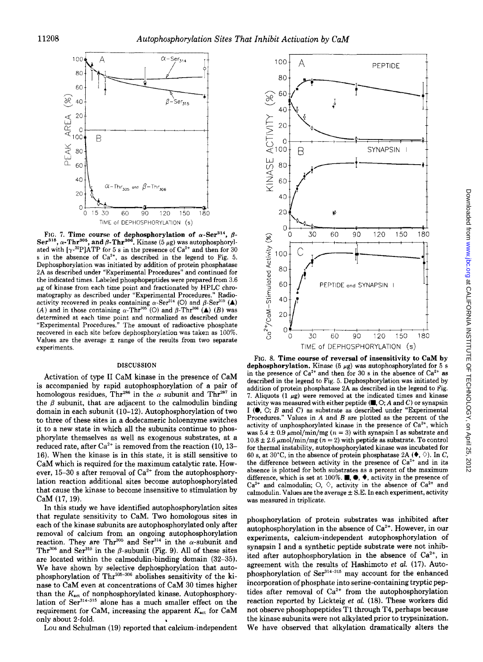

FIG. 7. Time course of dephosphorylation of  $\alpha$ -Ser<sup>314</sup>,  $\beta$ - $\mathbf{Ser}^{315}$ ,  $\alpha$ -Thr $^{305}$ , and  $\beta$ -Thr $^{306}$ . Kinase (5  $\mu$ g) was autophosphorylated with  $[\gamma^{32}P]$ ATP for 5 s in the presence of  $Ca^{2+}$  and then for 30 s in the absence of  $Ca^{2+}$ , as described in the legend to Fig. 5. Dephosphorylation was initiated by addition of protein phosphatase 2A as described under "Experimental Procedures" and continued for the indicated times. Labeled phosphopeptides were prepared from 3.6  $\mu$ g of kinase from each time point and fractionated by HPLC chromatography as described under "Experimental Procedures." Radioactivity recovered in peaks containing  $\alpha$ -Ser<sup>314</sup> (O) and  $\beta$ -Ser<sup>315</sup> (A) (A) and in those containing  $\alpha$ -Thr<sup>305</sup> (O) and  $\beta$ -Thr<sup>306</sup> (A) (B) was determined at each time point and normalized as described under "Experimental Procedures." The amount of radioactive phosphate recovered in each site before dephosphorylation was taken as 100%. Values are the average  $\pm$  range of the results from two separate experiments.

#### DISCUSSION

Activation of type II CaM kinase in the presence of CaM is accompanied by rapid autophosphorylation of a pair of homologous residues, Thr<sup>286</sup> in the  $\alpha$  subunit and Thr<sup>287</sup> in the  $\beta$  subunit, that are adjacent to the calmodulin binding domain in each subunit (10-12). Autophosphorylation of two to three of these sites in a dodecameric holoenzyme switches it to a new state in which all the subunits continue to phosphorylate themselves as well as exogenous substrates, at a reduced rate, after  $\text{Ca}^{2+}$  is removed from the reaction (10, 13– 16). When the kinase is in this state, it is still sensitive to CaM which is required for the maximum catalytic rate. However,  $15-30$  s after removal of  $Ca^{2+}$  from the autophosphorylation reaction additional sites become autophosphorylated that cause the kinase to become insensitive to stimulation by CaM (17, 19).

In this study we have identified autophosphorylation sites that regulate sensitivity to CaM. Two homologous sites in each of the kinase subunits are autophosphorylated only after removal of calcium from an ongoing autophosphorylation reaction. They are Thr<sup>305</sup> and Ser<sup>314</sup> in the  $\alpha$ -subunit and Thr<sup>306</sup> and Ser<sup>315</sup> in the  $\beta$ -subunit (Fig. 9). All of these sites are located within the calmodulin-binding domain (32-35). We have shown by selective dephosphorylation that autophosphorylation of Thr<sup>305-306</sup> abolishes sensitivity of the kinase to CaM even at concentrations of CaM 30 times higher than the  $K_{\text{act}}$  of nonphosphorylated kinase. Autophosphorylation of Ser<sup>314-315</sup> alone has a much smaller effect on the requirement for CaM, increasing the apparent  $K_{\text{act}}$  for CaM only about 2-fold.

Lou and Schulman (19) reported that calcium-independent



FIG. 8. Time course of reversal of insensitivity to CaM by dephosphorylation. Kinase (5  $\mu$ g) was autophosphorylated for 5 s in the presence of  $Ca^{2+}$  and then for 30 s in the absence of  $Ca^{2+}$  as described in the legend to Fig. 5. Dephosphorylation was initiated by addition of protein phosphatase 2A as described in the legend to Fig. 7. Aliquots  $(1 \mu g)$  were removed at the indicated times and kinase activity was measured with either peptide  $(\blacksquare, \bigcirc; A$  and C) or synapsin I ( $\bullet$ ,  $\circ$ ; B and C) as substrate as described under "Experimental" Procedures." Values in A and B are plotted as the percent of the activity of unphosphorylated kinase in the presence of  $Ca^{2+}$ , which was 5.4  $\pm$  0.9  $\mu$ mol/min/mg (n = 3) with synapsin I as substrate and  $10.8 \pm 2.6 \ \mu \text{mol/min/mg}$  ( $n = 2$ ) with peptide as substrate. To control for thermal instability, autophosphorylated kinase was incubated for 60 s, at 30°C, in the absence of protein phosphatase 2A  $(\blacklozenge, \Diamond)$ . In C, the difference between activity in the presence of  $Ca^{2+}$  and in its absence is plotted for both substrates as a percent of the maximum difference, which is set at 100%.  $\blacksquare, \blacklozenge, \blacklozenge,$  activity in the presence of  $Ca^{2+}$  and calmodulin; O,  $\Diamond$ , activity in the absence of  $Ca^{2}$ <sup>+</sup>and calmodulin. Values are the average  $\pm$  S.E. In each experiment, activity was measured in triplicate.

phosphorylation of protein substrates was inhibited after autophosphorylation in the absence of  $Ca^{2+}$ . However, in our experiments, calcium-independent autophosphorylation of synapsin I and a synthetic peptide substrate were not inhibited after autophosphorylation in the absence of  $Ca^{2+}$ , in agreement with the results of Hashimoto *et al.* (17). Auto· phosphorylation of Ser<sup>314-315</sup> may account for the enhanced incorporation of phosphate into serine-containing tryptic peptides after removal of  $Ca^{2+}$  from the autophosphorylation reaction reported by Lickteig *et al.* (18). These workers did not observe phosphopeptides Tl through T4, perhaps because the kinase subunits were not alkylated prior to trypsinization. We have observed that alkylation dramatically alters the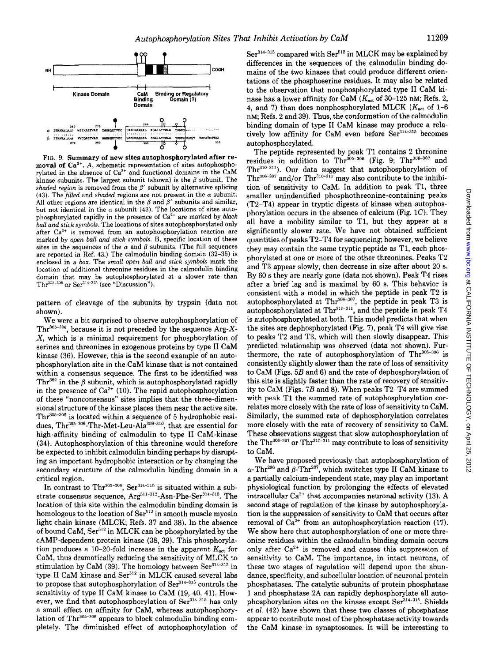

FIG. 9. Summary of new sites autophosphorylated after removal of  $Ca<sup>2+</sup>$ . A, schematic representation of sites autophosphorylated in the absence of  $Ca^{2+}$  and functional domains in the CaM kinase subunits. The largest subunit (shown) is the  $\beta$  subunit. The *shaded region* is removed from the  $\beta'$  subunit by alternative splicing (43). The *filled* and *shaded* regions are not present in the  $\alpha$  subunit. All other regions are identical in the  $\beta$  and  $\beta'$  subunits and similar, but not identical in the  $\alpha$  subunit (43). The locations of sites autophosphorylated rapidly in the presence of Ca<sup>2+</sup> are marked by *black* ball and stick symbols. The locations of sites autophosphorylated only after  $Ca^{2+}$  is removed from an autophosphorylation reaction are marked by *open ball and stick symbols.* B, specific location of these sites in the sequences of the  $\alpha$  and  $\beta$  subunits. (The full sequences are reported in Ref. 43.) The calmodulin binding domain (32-35) is enclosed in a *box.* The *small open ball and stick symbols* mark the location of additional threonine residues in the calmodulin binding domain that may be autophosphorylated at a slower rate than Thr<sup>305-306</sup> or Ser<sup>314-315</sup> (see "Discussion").

pattern of cleavage of the subunits by trypsin (data not shown).

We were a bit surprised to observe autophosphorylation of Thr<sup>306-306</sup>, because it is not preceded by the sequence  $Arg-X$ -X, which is a minimal requirement for phosphorylation of serines and threonines in exogenous proteins by type II CaM kinase (36). However, this is the second example of an autophosphorylation site in the CaM kinase that is not contained within a consensus sequence. The first to be identified was Thr<sup>382</sup> in the  $\beta$  subunit, which is autophosphorylated rapidly in the presence of  $Ca^{2+}$  (10). The rapid autophosphorylation of these "nonconsensus" sites implies that the three-dimensional structure of the kinase places them near the active site. Thr $306-306$  is located within a sequence of 5 hydrophobic residues, Thr $^{305-306}$ -Thr-Met-Leu-Ala $^{309-310}$ , that are essential for high-affinity binding of calmodulin to type II CaM-kinase (34). Autophosphorylation of this threonine would therefore be expected to inhibit calmodulin binding perhaps by disrupting an important hydrophobic interaction or by changing the secondary structure of the calmodulin binding domain in a critical region.

In contrast to Thr $^{305-306}$ , Ser $^{314-315}$  is situated within a substrate consensus sequence,  $\text{Arg}^{311-312}\text{-}\text{Asn-Phe-}\text{Ser}^{314-315}$ . The location of this site within the calmodulin binding domain is homologous to the location of  $\text{Ser}^{512}$  in smooth muscle myosin light chain kinase (MLCK; Refs. 37 and 38). In the absence of bound CaM, Ser512 in MLCK can be phosphorylated by the cAMP-dependent protein kinase (38, 39). This phosphorylation produces a 10-20-fold increase in the apparent  $K_{\text{act}}$  for CaM, thus dramatically reducing the sensitivity of MLCK to stimulation by CaM  $(39)$ . The homology between Ser<sup>314-315</sup> in type II CaM kinase and Ser<sup>512</sup> in MLCK caused several labs to propose that autophosphorylation of Ser<sup>314-315</sup> controls the sensitivity of type II CaM kinase to CaM (19, 40, 41). However, we find that autophosphorylation of Ser<sup>314-315</sup> has only a small effect on affinity for CaM, whereas autophosphorylation of Thr<sup>305-306</sup> appears to block calmodulin binding completely. The diminished effect of autophosphorylation of

 $\rm Ser^{314-315}$  compared with  $\rm Ser^{512}$  in MLCK may be explained by differences in the sequences of the calmodulin binding domains of the two kinases that could produce different orientations of the phosphoserine residues. It may also be related to the observation that nonphosphorylated type II CaM kinase has a lower affinity for CaM ( $K_{\text{act}}$  of 30-125 nM; Refs. 2, 4, and 7) than does nonphosphorylated MLCK ( $K_{\text{act}}$  of 1-6 nM; Refs. 2 and 39). Thus, the conformation of the calmodulin binding domain of type II CaM kinase may produce a relatively low affinity for CaM even before Ser<sup>314-315</sup> becomes autophosphorylated.

The peptide represented by peak T1 contains 2 threonine residues in addition to Thr<sup>305-306</sup> (Fig. 9; Thr<sup>306-307</sup> and  $Thr<sup>310-311</sup>)$ . Our data suggest that autophosphorylation of  $\text{Thr}^{306-307}$  and/or  $\text{Thr}^{310-311}$  may also contribute to the inhibition of sensitivity to CaM. In addition to peak Tl, three smaller unindentified phosphothreonine-containing peaks (T2-T4) appear in tryptic digests of kinase when autophosphorylation occurs in the absence of calcium (Fig. lC). They all have a mobility similar to T1, but they appear at a significantly slower rate. We have not obtained sufficient quantities of peaks T2-T4 for sequencing; however, we believe they may contain the same tryptic peptide as Tl, each phosphorylated at one or more of the other threonines. Peaks T2 and T3 appear slowly, then decrease in size after about 20 s. By 60 s they are nearly gone (data not shown). Peak T4 rises after a brief lag and is maximal by 60 s. This behavior is consistent with a model in which the peptide in peak T2 is autophosphorylated at Th $r^{306-307}$ , the peptide in peak T3 is autophosphorylated at  $Thr^{310-311}$ , and the peptide in peak T4 is autophosphorylated at both. This model predicts that when the sites are dephosphorylated (Fig. 7), peak T4 will give rise to peaks T2 and T3, which will then slowly disappear. This predicted relationship was observed (data not shown). Furthermore, the rate of autophosphorylation of  $Thr^{305-306}$  is consistently slightly slower than the rate of loss of sensitivity to CaM (Figs. *5B* and 6) and the rate of dephosphorylation of this site is slightly faster than the rate of recovery of sensitivity to CaM (Figs. 7B and 8). When peaks T2-T4 are summed with peak T1 the summed rate of autophosphorylation correlates more closely with the rate of loss of sensitivity to CaM. Similarly, the summed rate of dephosphorylation correlates more closely with the rate of recovery of sensitivity to CaM. These observations suggest that slow autophosphorylation of the Thr<sup>306-307</sup> or Thr<sup>310-311</sup> may contribute to loss of sensitivity to CaM.

We have proposed previously that autophosphorylation of  $\alpha$ -Thr $^{286}$  and  $\beta$ -Thr $^{287}$  which switches type II CaM kinase to a partially calcium-independent state, may play an important physiological function by prolonging the effects of elevated intracellular Ca<sup>2+</sup> that accompanies neuronal activity (13). A second stage of regulation of the kinase by autophosphorylation is the suppression of sensitivity to CaM that occurs after removal of  $Ca^{2+}$  from an autophosphorylation reaction (17). We show here that autophosphorylation of one or more threonine residues within the calmodulin binding domain occurs only after  $Ca^{2+}$  is removed and causes this suppression of sensitivity to CaM. The importance, in intact neurons, of these two stages of regulation will depend upon the abundance, specificity, and subcellular location of neuronal protein phosphatases. The catalytic subunits of protein phosphatase 1 and phosphatase 2A can rapidly dephosphorylate all autophosphorylation sites on the kinase except Ser<sup>314-315</sup>. Shields *et al.* (42) have shown that these two classes of phosphatase appear to contribute most of the phosphatase activity towards the CaM kinase in synaptosomes. It will be interesting to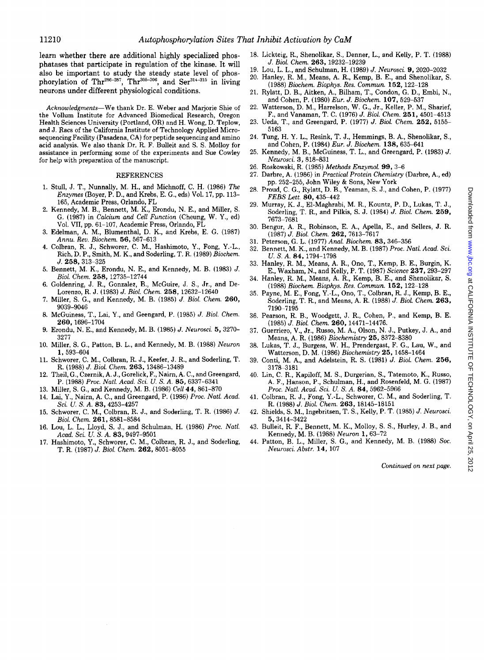learn whether there are additional highly specialized phosphatases that participate in regulation of the kinase. It will also be important to study the steady state level of phosphorylation of Thr<sup>286-287</sup>, Thr<sup>305-306</sup>, and Ser<sup>314-315</sup> in living neurons under different physiological conditions.

*Acknowledgments-We* thank Dr. E. Weber and Marjorie Shie of the Vollum Institute for Advanced Biomedical Research, Oregon Health Sciences University (Portland, OR) and H. Wong, D. Teplow, and J. Racs of the California Institute of Technology Applied Microsequencing Facility (Pasadena, CA) for peptide sequencing and amino acid analysis. We also thank Dr. R. F. Bulleit and S. S. Molloy for assistance in performing some of the experiments and Sue Cowley for help with preparation of the manuscript.

#### REFERENCES

- 1. Stull, J. T., Nunnally, M. H., and Michnoff, C. H. (1986) *The Enzymes* (Boyer, P. D., and Krebs, E. G., eds) Vol. 17, pp. 113- 165, Academic Press, Orlando, FL
- 2. Kennedy, M. B., Bennett, M. K., Erondu, N. E., and Miller, S. G. (1987) in *Calcium and Cell Function* (Cheung, W. Y., ed) Vol. VII, pp. 61-107, Academic Press, Orlando, FL
- 3. Edelman, A. M., Blumenthal, D. K., and Krebs, E. G. (1987) *Annu. Rev. Biochem.* 56, 567-613
- 4. Colbran, R. J., Schworer, C. M., Hashimoto, Y., Fong, Y.-L., Rich, D.P., Smith, M. K., and Soderling, T. R. (1989) *Biochem.*  J. 258, 313-325
- 5. Bennett, M. K., Erondu, N. E., and Kennedy, M. B. (1983) J. *Biol. Chern.* 258, 12735-12744
- 6. Goldenring, J. R., Gonzalez, B., McGuire, J. S., Jr., and De-Lorenzo, R. J. (1983) J. *Biol. Chern.* 258, 12632-12640
- 7. Miller, S. G., and Kennedy, M. B. (1985) J. *Biol. Chern.* 260, 9039-9046
- 8. McGuiness, T., Lai, Y., and Geengard, P. (1985) *J. Bioi. Chern.*  260, 1696-1704
- 9. Erondu, N. E., and Kennedy, M. B. (1985) J. *Neurosci.* 5, 3270- 3277
- 10. Miller, S. G., Patton, B. L., and Kennedy, M. B. (1988) *Neuron*  1, 593-604
- 11. Schworer, C. M., Colbran, R. J., Keefer, J. R., and Soderling, T. R. (1988) *J. Biol. Chern.* 263, 13486-13489
- 12. Theil, G., Czernik, A. J., Gorelick, F., Nairn, A. C., and Greengard, P. (1988) *Proc. Natl. Acad. Sci. U. S.* A. 85, 6337-6341
- 13. Miller, S. G., and Kennedy, M. B. (1986) *Cell44,* 861-870
- 14. Lai, Y., Nairn, A. C., and Greengard, P. (1986) *Proc. Natl. Acad. Sci. U. S.* A. 83, 4253-4257
- 15. Schworer, C. M., Colbran, R. J., and Soderling, T. R. (1986) J. *Bioi. Chern.* 261, 8581-8584
- 16. Lou, L. L., Lloyd, S. J., and Schulman, H. (1986) *Proc. Natl. Acad. Sci. U. S. A.* 83, 9497-9501
- 17. Hashimoto, Y., Schworer, C. M., Colbran, R. J., and Soderling, T. R. (1987) *J. Bioi. Chern.* 262, 8051-8055
- 18. Lickteig, R., Shenolikar, S., Denner, L., and Kelly, P. T. (1988) *J. Biol. Chern.* 263, 19232-19239
- 19. Lou, L. L., and Schulman, H. (1989) *J. Neurosci.* 9, 2020-2032
- 20. Hanley, R. M., Means, A. R., Kemp, B. E., and Shenolikar, S. (1988) *Biochem. Biophys. Res. Commun.* 152, 122-128
- 21. Rylatt, D. B., Aitken, A., Bilham, T., Condon, G. D., Embi, N., and Cohen, P. (1980) *Eur. J. Biochem.* 107, 529-537
- 22. Watterson, D. M., Harrelson, W. G., Jr., Keller, P.M., Sharief, F., and Vanaman, T. C. (1976) *J. Bioi. Chem.* 251, 4501-4513
- 23. Ueda, T., and Greengard, P. (1977) *J. Bioi. Chern.* 252, 5155- 5163
- 24. Tung, H. Y. L., Resink, T. J., Hemmings, B. A., Shenolikar, S., and Cohen, P. (1984) *Eur. J. Biochem.* 138, 635-641
- 25. Kennedy, M. B., McGuiness, T. L., and Greengard, P. (1983) *J. Neurosci.* 3, 818-831
- 26. Roskowski, R. (1985) *Methods Enzymol.* 99, 3-6
- 27. Darbre, A. (1986) in *Practical Protein Chemistry* (Darbre, A., ed) pp. 252-255, John Wiley & Sons, New York
- 28. Proud, C. G., Rylatt, D. B., Yeaman, S. J., and Cohen, P. (1977) *FEBS Lett.* 80, 435-442
- 29. Murray, K. J., El-Maghrabi, M. R., Kountz, P. D., Lukas, T. J., Soderling, T. R., and Pilkis, S. J. (1984) *J. Bioi. Chern.* 259, 7673-7681
- 30. Bengur, A. R., Robinson, E. A., Apella, E., and Sellers, J. R. (1987) *J. Biol. Chern.* 262, 7613-7617
- 31. Peterson, G. L. (1977) *Anal. Biochem.* 83, 346-356
- 32. Bennett, M. K., and Kennedy, M. B. (1987) *Proc. Natl. Acad. Sci. U.S. A.* 84, 1794-1798
- 33. Hanley, R. M., Means, A. R., Ono, T., Kemp, B. E., Burgin, K. E., Waxham, N., and Kelly, P. T. (1987) *Science* 237, 293-297
- 34. Hanley, R. M., Means, A. R., Kemp, B. E., and Shenolikar, S. (1988) *Biochem. Biophys. Res. Commun.* 152, 122-128
- 35. Payne, M. E., Fong, Y.-L., Ono, T., Colbran, R. J., Kemp, B. E., Soderling, T. R., and Means, A. R. (1988) *J. Biol. Chern.* 263, 7190-7195
- 36. Pearson, R. B., Woodgett, J. R., Cohen, P., and Kemp, B. E. (1985) *J. Bioi. Chern.* 260, 14471-14476.
- 37. Guerriero, V., Jr., Russo, M.A., Olson, N.J., Putkey, J. A., and Means, A. R. (1986) *Biochemistry* 25, 8372-8380
- 38. Lukas, T. J., Burgess, W. H., Prendergast, F. G., Lau, W., and Watterson, D. M. (1986) *Biochemistry* 25, 1458-1464
- 39. Conti, M. A., and Adelstein, R. S. (1981) J. *Bioi. Chern.* 256, 3178-3181
- 40. Lin, C. R., Kapiloff, M. S., Durgerian, S., Tatemoto, K., Russo, A. F., Hanson, P., Schulman, H., and Rosenfeld, M.G. (1987) *Proc. Natl. Acad. Sci.* V. *S. A.* 84, 5962-5966
- 41. Colbran, R. J., Fong, Y.-L., Schworer, C. M., and Soderling, T. R. (1988) *J. Bioi. Chern.* 263, 18145-18151
- 42. Shields, S.M., lngebritsen, T. S., Kelly, P. T. (1985) *J. Neurosci.*  5, 3414-3422
- 43. Bulleit, R. F., Bennett, M. K., Molloy, S. S., Hurley, J. B., and Kennedy, M. B. (1988) *Neuron* 1, 63-72
- 44. Patton, B. L., Miller, S. G., and Kennedy, M. B. (1988) *Soc. Neurosci. Abstr.* 14, 107

*Continued on next page.*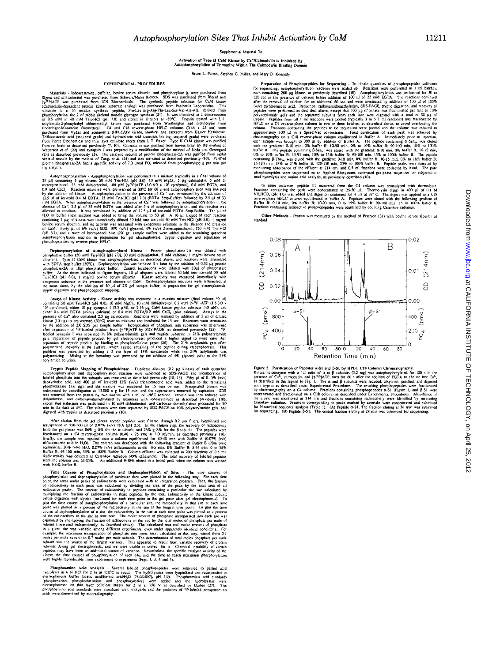Supplemental Material To

Activation of Type II CaM Kinase by Ca<sup>1</sup>/Calmodulin is Inhibited By<br>Autophosphorylation of Threonine Within The Calmodulin Binding Dom

Bruce L. Patton, Stephen G. Miller, and Mary B. Kennedy

#### **EXPERIMENTAL PROCEDURES**

**EXPERIMENTAL PROUGENERS**<br> **EXPERIMENTAL PROUGENESS**<br>
Materials - Icobacctamide, earlies, bovies germ albumin, and phosphorylase b, were purchased from<br>
Sigma and dithionhytical was purchased from Schwarz/Mann Biotoch. SD

mg enzyme.<br>
Autophosphorylation - Autophosphorylation was performed in a mixture (typically in a final volume of<br>
Autophosphorylation - Autophosphorylation was performed in a mixture (typically in a final volume of<br>
metro

**Dephasphorylation of Autophasphorylated Kinsae - Protein phosphatase-2A was diluted with phosphatase buffer (50 mM Tris-HCl [pH 7.0], 30 mM dithiodinetiol, 5 mM caffeine, 1 mg/ml bovine serund aboution). Type II CaM kins** 

trypic digestion and phosphopeptus mapping.<br>
States Activity was measured in a reaction mixture (final volume 50  $\mu$ )<br>
containing 50 mM Tris-HCl (pH 8.0), 10 mM MgCl<sub>r</sub>, 10 mM dithiothreical, 0.2 mM ( $\gamma$ <sup>n</sup>P|-ATP (1.5-1 polymerizing Mi<br>acrylamide solution

Tryptic Penile Mapping of Phosphokinase - Duplicate aliquots (0.2 µg kinste) of each quenched autophosphorylation and dephosphorylation reaction were subjected to SDS-PAGE and incorporation of labeled phosphate into the s

After elution from the gel pieces, trypic peptides were filtered through 0.2 µm filters, lyophilized and resuspended in 250-300 µl of 0.07% (v/v) TFA (pH 2.3). In the clution step, the recovery of radioactivity fram the g

with 100% buffer B.<br>
The conserve a Postphorylation and Dephends and whole per term the business of Phosphorylation and dephosphorylation of particular sizes were plotted in the following way. For each time phosphorylatio

**Phasphoamino Acid Analysis** - Several labeled phosphopepides were subjected to partial acid hydrolysis in 6 N HCl for 2 hr at 110<sup>o</sup>C in vacua. The hydrolysates were lyophilized and resuperaded in electrophoresis buffer

and Mary B. Kennedy<br> **Preparation of Phesphopeptides for Sequencing** - To obtain quantities of phosphopeptides sufficient<br>
for sequencing, autophosphorylation reactions were scaled up. Reactions were performed in 1 ml bat

In some instances, peptide T1 recovered from the C4 column was protectlysed with thermolysin.<br>Fractions containing the peak were concentrated to 25-50  $\mu$ 1. Thermolysin (ILag) in 400  $\mu$  i of 0.1 M<br>THLHCO, (pH 8.0) was

Other Methods - Protein was measured by the method of Peterson (31) with bovine serum albumin as standard



Figure 2. Purification of Peptides  $\alpha$ -S1 and  $\beta$ -S1 by HPLC CI8 Column Chromatography.<br>
Kinase holoenzyme with a 1:1 ratio of  $\alpha$  to  $\beta$  subunits (3.2 mg) was autophosphorylated for 120 s in the state of  $\alpha^*$ , pres